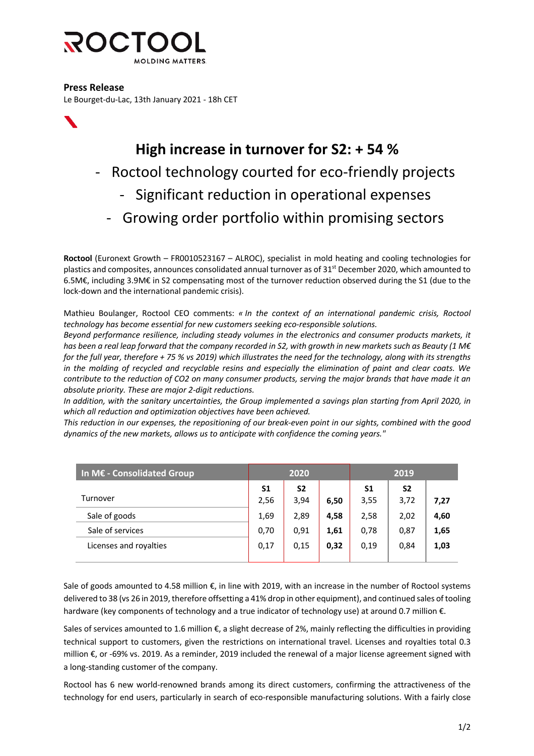

**Press Release**

Le Bourget-du-Lac, 13th January 2021 - 18h CET



## **High increase in turnover for S2: + 54 %**

- Roctool technology courted for eco-friendly projects
	- Significant reduction in operational expenses
	- Growing order portfolio within promising sectors

**Roctool** (Euronext Growth – FR0010523167 – ALROC), specialist in mold heating and cooling technologies for plastics and composites, announces consolidated annual turnover as of 31<sup>st</sup> December 2020, which amounted to 6.5M€, including 3.9M€ in S2 compensating most of the turnover reduction observed during the S1 (due to the lock-down and the international pandemic crisis).

Mathieu Boulanger, Roctool CEO comments: *« In the context of an international pandemic crisis, Roctool technology has become essential for new customers seeking eco-responsible solutions.* 

*Beyond performance resilience, including steady volumes in the electronics and consumer products markets, it has been a real leap forward that the company recorded in S2, with growth in new markets such as Beauty (1 M€ for the full year, therefore + 75 % vs 2019) which illustrates the need for the technology, along with its strengths in the molding of recycled and recyclable resins and especially the elimination of paint and clear coats. We contribute to the reduction of CO2 on many consumer products, serving the major brands that have made it an absolute priority. These are major 2-digit reductions.*

*In addition, with the sanitary uncertainties, the Group implemented a savings plan starting from April 2020, in which all reduction and optimization objectives have been achieved.*

*This reduction in our expenses, the repositioning of our break-even point in our sights, combined with the good dynamics of the new markets, allows us to anticipate with confidence the coming years."*

| In M€ - Consolidated Group | 2020 |                |      | 2019 |                |      |
|----------------------------|------|----------------|------|------|----------------|------|
|                            | S1   | S <sub>2</sub> |      | S1   | S <sub>2</sub> |      |
| Turnover                   | 2,56 | 3,94           | 6,50 | 3,55 | 3,72           | 7,27 |
| Sale of goods              | 1,69 | 2,89           | 4,58 | 2,58 | 2,02           | 4,60 |
| Sale of services           | 0,70 | 0,91           | 1,61 | 0,78 | 0,87           | 1,65 |
| Licenses and royalties     | 0,17 | 0,15           | 0,32 | 0,19 | 0,84           | 1,03 |
|                            |      |                |      |      |                |      |

Sale of goods amounted to 4.58 million €, in line with 2019, with an increase in the number of Roctool systems delivered to 38 (vs 26 in 2019, therefore offsetting a 41% drop in other equipment), and continued sales of tooling hardware (key components of technology and a true indicator of technology use) at around 0.7 million €.

Sales of services amounted to 1.6 million  $\epsilon$ , a slight decrease of 2%, mainly reflecting the difficulties in providing technical support to customers, given the restrictions on international travel. Licenses and royalties total 0.3 million €, or -69% vs. 2019. As a reminder, 2019 included the renewal of a major license agreement signed with a long-standing customer of the company.

Roctool has 6 new world-renowned brands among its direct customers, confirming the attractiveness of the technology for end users, particularly in search of eco-responsible manufacturing solutions. With a fairly close